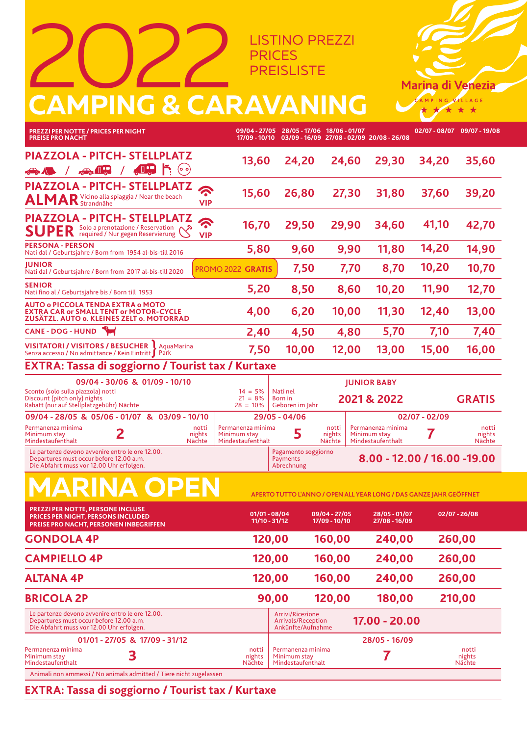LISTINO PREZZI PRICES **PREISLISTE** 

**28/05 - 17/06**

**18/06 - 01/07**

**02/07 - 08/07 09/07 - 19/08**

**Marina di Venezia** AMPING VILLAGE

**09/04 - 27/05**

## 2022 **CAMPING & CARAVANING**

**PREZZI PER NOTTE / PRICES PER NIGHT**

**17/09 - 10/10 PREISE PRO NACHT 03/09 - 16/09 27/08 - 02/09 20/08 - 26/08 PIAZZOLA - PITCH- STELLPLATZ 13,60 24,20 24,60 29,30 34,20 35,60 PIAZZOLA - PITCH- STELLPLATZ**  $\widehat{\mathbf{c}}$ **15,60 26,80 27,30 31,80 37,60 39,20 ALMAR** Vicino alla spiaggia / Near the beach **VIP PIAZZOLA - PITCH- STELLPLATZ**  $\sum_{i=1}^{n}$ **41,10 16,70 29,50 29,90 34,60 42,70** SUPER<sup>Solo a prenotazione / Reservation C</sup> **VIPPERSONA - PERSON 14,20 5,80 9,60 9,90 11,80 14,90** Nati dal / Geburtsjahre / Born from 1954 al-bis-till 2016 **JUNIOR 7,50 7,70 8,70 10,20 10,70** PROMO 2022 **GRATIS** Nati dal / Geburtsjahre / Born from 2017 al-bis-till 2020 **SENIOR 5,20 8,50 10,20 11,90 12,70 8,60** Nati fino al / Geburtsjahre bis / Born till 1953 **AUTO o PICCOLA TENDA EXTRA o MOTO EXTRA CAR or SMALL TENT or MOTOR-CYCLE 4,00 6,20 10,00 11,30 12,40 13,00 ZUSÄTZL. AUTO o. KLEINES ZELT o. MOTORRAD 2,40 4,50 4,80 5,70 7,10 7,40 CANE - DOG - HUND VISITATORI / VISITORS / BESUCHER** AquaMarina **7,50 10,00 12,00 13,00 15,00 16,00** Senza accesso / No admittance / Kein Eintritt **EXTRA: Tassa di soggiorno / Tourist tax / Kurtaxe 09/04 - 30/06 & 01/09 - 10/10 JUNIOR BABY**  $14 = 5%$ Nati nel **2021 & 2022 GRATIS** Sconto (solo sulla piazzola) notti Discount (pitch only) nights Rabatt (nur auf Stellplatzgebühr) Nächte  $21 = 8%$ Born in  $28 = 10\%$ Geboren im Jahr  **09/04 - 28/05 & 05/06 - 01/07 & 03/09 - 10/10 02/07 - 02/09 29/05 - 04/06 2** Permanenza minima notti Permanenza minima<br>
nights Minimum stay<br>
Nächte Mindestaufenthalt<br>
Nächte Mindestaufenthalt<br>
Nächte Mindestaufenthalt notti **5** Permanenza minima notti notti Minimum stay nights<br>Nächte Minimum stay nights Minimum stay nights Mindestaufenthalt Mindestaufenthalt **Nächte** Mindestaufenthalt **Nächte** Le partenze devono avvenire entro le ore 12.00. Pagamento soggiorno **8.00 - 12.00 / 16.00 -19.00** Departures must occur before 12.00 a.m. **Payments** Die Abfahrt muss vor 12.00 Uhr erfolgen. Abrechnung **MARINA OPEN APERTO TUTTO L'ANNO / OPEN ALL YEAR LONG / DAS GANZE JAHR GEÖFFNET PREZZI PER NOTTE, PERSONE INCLUSE 17/09 - 10/10 09/04 - 27/05 02/07 - 26/08 01/01 - 08/04 28/05 - 01/07 PRICES PER NIGHT, PERSONS INCLUDED 11/10 - 31/12 27/08 - 16/09 PREISE PRO NACHT, PERSONEN INBEGRIFFEN GONDOLA 4P 120,00 160,00 240,00 260,00 CAMPIELLO 4P 120,00 160,00 240,00 260,00 ALTANA 4P 120,00 160,00 240,00 260,00 BRICOLA 2P 90,00 120,00 180,00 210,00** Le partenze devono avvenire entro le ore 12.00. Arrivi/Ricezione Arrivals/Reception Departures must occur before 12.00 a.m.  **17.00 - 20.00** Die Abfahrt muss vor 12.00 Uhr erfolgen. Ankünfte/Aufnahme **01/01 - 27/05 & 17/09 - 31/12 28/05 - 16/09** Permanenza minima notti **3 7** Permanenza minima notti Minimum stay Mindestaufenthalt nights Nächte Minimum stay Mindestaufenthalt nights Nächte

Animali non ammessi / No animals admitted / Tiere nicht zugelassen

## **EXTRA: Tassa di soggiorno / Tourist tax / Kurtaxe**